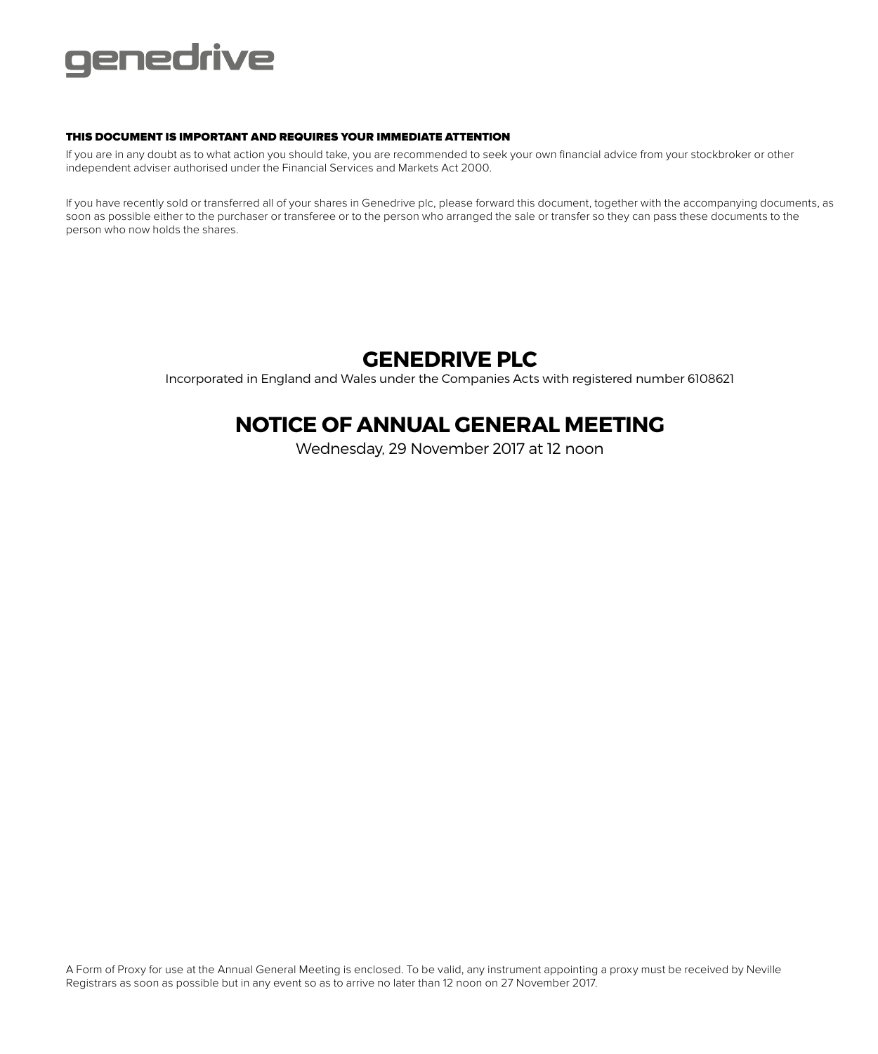

## THIS DOCUMENT IS IMPORTANT AND REQUIRES YOUR IMMEDIATE ATTENTION

If you are in any doubt as to what action you should take, you are recommended to seek your own financial advice from your stockbroker or other independent adviser authorised under the Financial Services and Markets Act 2000.

If you have recently sold or transferred all of your shares in Genedrive plc, please forward this document, together with the accompanying documents, as soon as possible either to the purchaser or transferee or to the person who arranged the sale or transfer so they can pass these documents to the person who now holds the shares.

## **GENEDRIVE PLC**

Incorporated in England and Wales under the Companies Acts with registered number 6108621

## **NOTICE OF ANNUAL GENERAL MEETING**

Wednesday, 29 November 2017 at 12 noon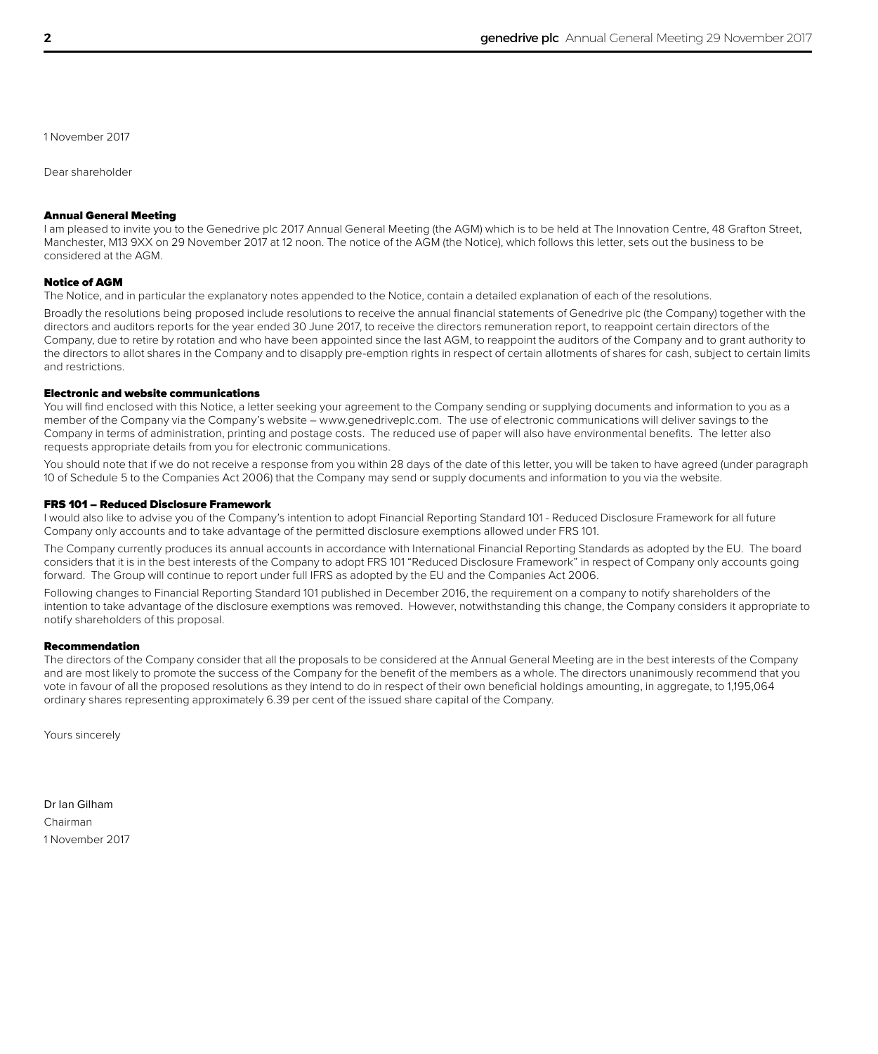1 November 2017

Dear shareholder

#### Annual General Meeting

I am pleased to invite you to the Genedrive plc 2017 Annual General Meeting (the AGM) which is to be held at The Innovation Centre, 48 Grafton Street, Manchester, M13 9XX on 29 November 2017 at 12 noon. The notice of the AGM (the Notice), which follows this letter, sets out the business to be considered at the AGM.

### Notice of AGM

The Notice, and in particular the explanatory notes appended to the Notice, contain a detailed explanation of each of the resolutions.

Broadly the resolutions being proposed include resolutions to receive the annual financial statements of Genedrive plc (the Company) together with the directors and auditors reports for the year ended 30 June 2017, to receive the directors remuneration report, to reappoint certain directors of the Company, due to retire by rotation and who have been appointed since the last AGM, to reappoint the auditors of the Company and to grant authority to the directors to allot shares in the Company and to disapply pre-emption rights in respect of certain allotments of shares for cash, subject to certain limits and restrictions.

## Electronic and website communications

You will find enclosed with this Notice, a letter seeking your agreement to the Company sending or supplying documents and information to you as a member of the Company via the Company's website – www.genedriveplc.com. The use of electronic communications will deliver savings to the Company in terms of administration, printing and postage costs. The reduced use of paper will also have environmental benefits. The letter also requests appropriate details from you for electronic communications.

You should note that if we do not receive a response from you within 28 days of the date of this letter, you will be taken to have agreed (under paragraph 10 of Schedule 5 to the Companies Act 2006) that the Company may send or supply documents and information to you via the website.

#### FRS 101 – Reduced Disclosure Framework

I would also like to advise you of the Company's intention to adopt Financial Reporting Standard 101 - Reduced Disclosure Framework for all future Company only accounts and to take advantage of the permitted disclosure exemptions allowed under FRS 101.

The Company currently produces its annual accounts in accordance with International Financial Reporting Standards as adopted by the EU. The board considers that it is in the best interests of the Company to adopt FRS 101 "Reduced Disclosure Framework" in respect of Company only accounts going forward. The Group will continue to report under full IFRS as adopted by the EU and the Companies Act 2006.

Following changes to Financial Reporting Standard 101 published in December 2016, the requirement on a company to notify shareholders of the intention to take advantage of the disclosure exemptions was removed. However, notwithstanding this change, the Company considers it appropriate to notify shareholders of this proposal.

## Recommendation

The directors of the Company consider that all the proposals to be considered at the Annual General Meeting are in the best interests of the Company and are most likely to promote the success of the Company for the benefit of the members as a whole. The directors unanimously recommend that you vote in favour of all the proposed resolutions as they intend to do in respect of their own beneficial holdings amounting, in aggregate, to 1,195,064 ordinary shares representing approximately 6.39 per cent of the issued share capital of the Company.

Yours sincerely

Dr Ian Gilham Chairman 1 November 2017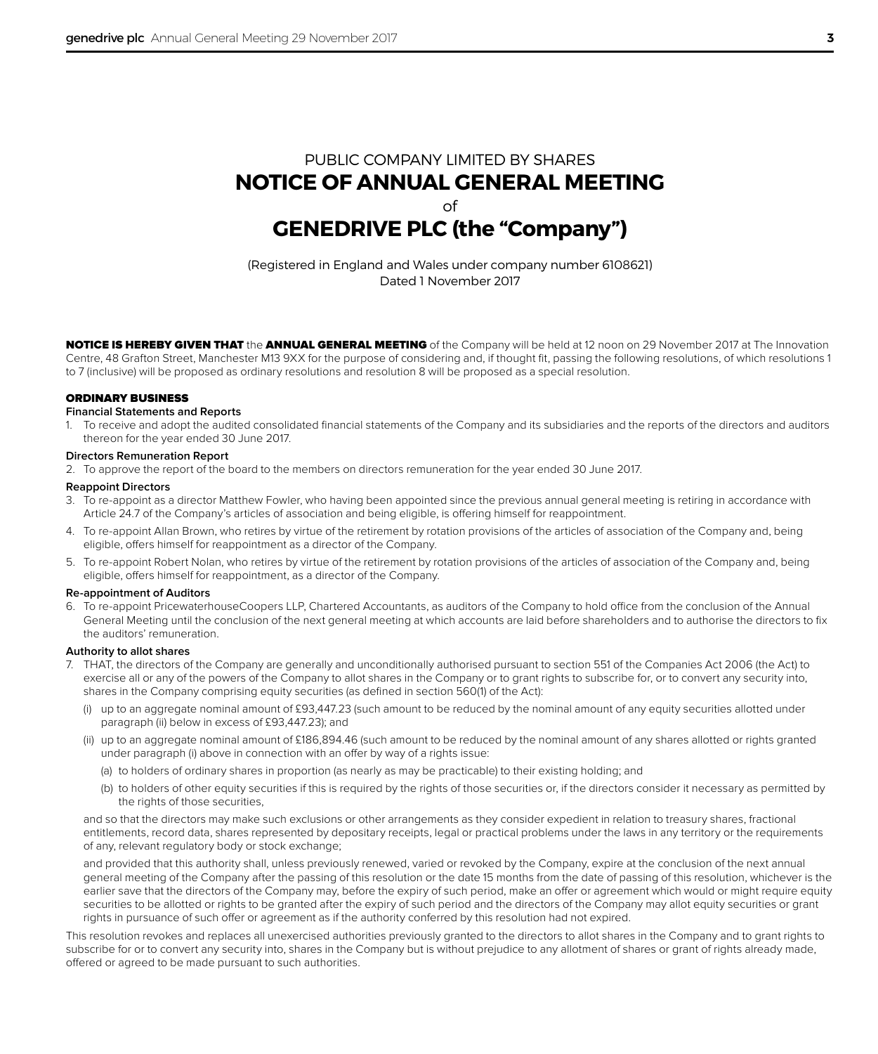## PUBLIC COMPANY LIMITED BY SHARES **NOTICE OF ANNUAL GENERAL MEETING** of **GENEDRIVE PLC (the "Company")**

(Registered in England and Wales under company number 6108621) Dated 1 November 2017

NOTICE IS HEREBY GIVEN THAT the ANNUAL GENERAL MEETING of the Company will be held at 12 noon on 29 November 2017 at The Innovation Centre, 48 Grafton Street, Manchester M13 9XX for the purpose of considering and, if thought fit, passing the following resolutions, of which resolutions 1 to 7 (inclusive) will be proposed as ordinary resolutions and resolution 8 will be proposed as a special resolution.

## ORDINARY BUSINESS

## **Financial Statements and Reports**

1. To receive and adopt the audited consolidated financial statements of the Company and its subsidiaries and the reports of the directors and auditors thereon for the year ended 30 June 2017.

#### **Directors Remuneration Report**

2. To approve the report of the board to the members on directors remuneration for the year ended 30 June 2017.

#### **Reappoint Directors**

- 3. To re-appoint as a director Matthew Fowler, who having been appointed since the previous annual general meeting is retiring in accordance with Article 24.7 of the Company's articles of association and being eligible, is offering himself for reappointment.
- 4. To re-appoint Allan Brown, who retires by virtue of the retirement by rotation provisions of the articles of association of the Company and, being eligible, offers himself for reappointment as a director of the Company.
- 5. To re-appoint Robert Nolan, who retires by virtue of the retirement by rotation provisions of the articles of association of the Company and, being eligible, offers himself for reappointment, as a director of the Company.

#### **Re-appointment of Auditors**

6. To re-appoint PricewaterhouseCoopers LLP, Chartered Accountants, as auditors of the Company to hold office from the conclusion of the Annual General Meeting until the conclusion of the next general meeting at which accounts are laid before shareholders and to authorise the directors to fix the auditors' remuneration.

### **Authority to allot shares**

- 7. THAT, the directors of the Company are generally and unconditionally authorised pursuant to section 551 of the Companies Act 2006 (the Act) to exercise all or any of the powers of the Company to allot shares in the Company or to grant rights to subscribe for, or to convert any security into, shares in the Company comprising equity securities (as defined in section 560(1) of the Act):
	- (i) up to an aggregate nominal amount of £93,447.23 (such amount to be reduced by the nominal amount of any equity securities allotted under paragraph (ii) below in excess of £93,447.23); and
	- (ii) up to an aggregate nominal amount of £186,894.46 (such amount to be reduced by the nominal amount of any shares allotted or rights granted under paragraph (i) above in connection with an offer by way of a rights issue:
		- (a) to holders of ordinary shares in proportion (as nearly as may be practicable) to their existing holding; and
		- (b) to holders of other equity securities if this is required by the rights of those securities or, if the directors consider it necessary as permitted by the rights of those securities.

and so that the directors may make such exclusions or other arrangements as they consider expedient in relation to treasury shares, fractional entitlements, record data, shares represented by depositary receipts, legal or practical problems under the laws in any territory or the requirements of any, relevant regulatory body or stock exchange;

and provided that this authority shall, unless previously renewed, varied or revoked by the Company, expire at the conclusion of the next annual general meeting of the Company after the passing of this resolution or the date 15 months from the date of passing of this resolution, whichever is the earlier save that the directors of the Company may, before the expiry of such period, make an offer or agreement which would or might require equity securities to be allotted or rights to be granted after the expiry of such period and the directors of the Company may allot equity securities or grant rights in pursuance of such offer or agreement as if the authority conferred by this resolution had not expired.

This resolution revokes and replaces all unexercised authorities previously granted to the directors to allot shares in the Company and to grant rights to subscribe for or to convert any security into, shares in the Company but is without prejudice to any allotment of shares or grant of rights already made, offered or agreed to be made pursuant to such authorities.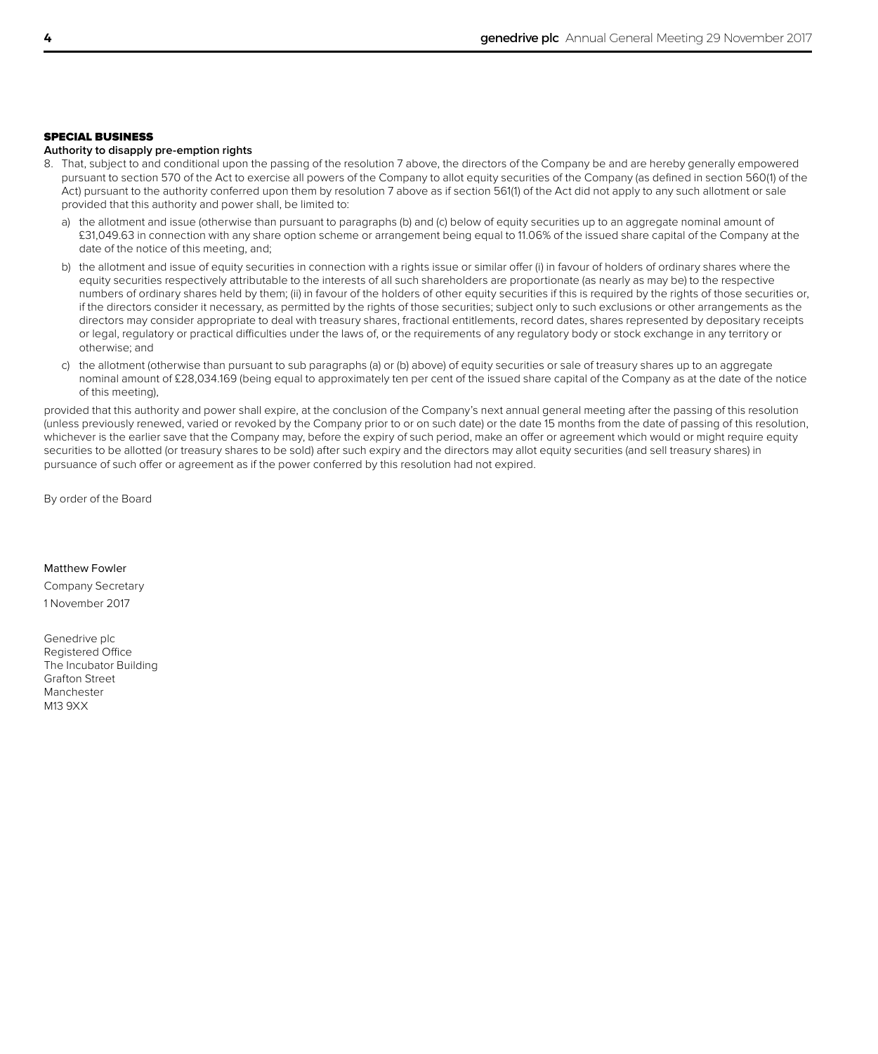## SPECIAL BUSINESS

## **Authority to disapply pre-emption rights**

- 8. That, subject to and conditional upon the passing of the resolution 7 above, the directors of the Company be and are hereby generally empowered pursuant to section 570 of the Act to exercise all powers of the Company to allot equity securities of the Company (as defined in section 560(1) of the Act) pursuant to the authority conferred upon them by resolution 7 above as if section 561(1) of the Act did not apply to any such allotment or sale provided that this authority and power shall, be limited to:
	- a) the allotment and issue (otherwise than pursuant to paragraphs (b) and (c) below of equity securities up to an aggregate nominal amount of £31,049.63 in connection with any share option scheme or arrangement being equal to 11.06% of the issued share capital of the Company at the date of the notice of this meeting, and;
	- b) the allotment and issue of equity securities in connection with a rights issue or similar offer (i) in favour of holders of ordinary shares where the equity securities respectively attributable to the interests of all such shareholders are proportionate (as nearly as may be) to the respective numbers of ordinary shares held by them; (ii) in favour of the holders of other equity securities if this is required by the rights of those securities or, if the directors consider it necessary, as permitted by the rights of those securities; subject only to such exclusions or other arrangements as the directors may consider appropriate to deal with treasury shares, fractional entitlements, record dates, shares represented by depositary receipts or legal, regulatory or practical difficulties under the laws of, or the requirements of any regulatory body or stock exchange in any territory or otherwise; and
	- c) the allotment (otherwise than pursuant to sub paragraphs (a) or (b) above) of equity securities or sale of treasury shares up to an aggregate nominal amount of £28,034.169 (being equal to approximately ten per cent of the issued share capital of the Company as at the date of the notice of this meeting),

provided that this authority and power shall expire, at the conclusion of the Company's next annual general meeting after the passing of this resolution (unless previously renewed, varied or revoked by the Company prior to or on such date) or the date 15 months from the date of passing of this resolution, whichever is the earlier save that the Company may, before the expiry of such period, make an offer or agreement which would or might require equity securities to be allotted (or treasury shares to be sold) after such expiry and the directors may allot equity securities (and sell treasury shares) in pursuance of such offer or agreement as if the power conferred by this resolution had not expired.

By order of the Board

## Matthew Fowler

Company Secretary 1 November 2017

Genedrive plc Registered Office The Incubator Building Grafton Street Manchester M13 9XX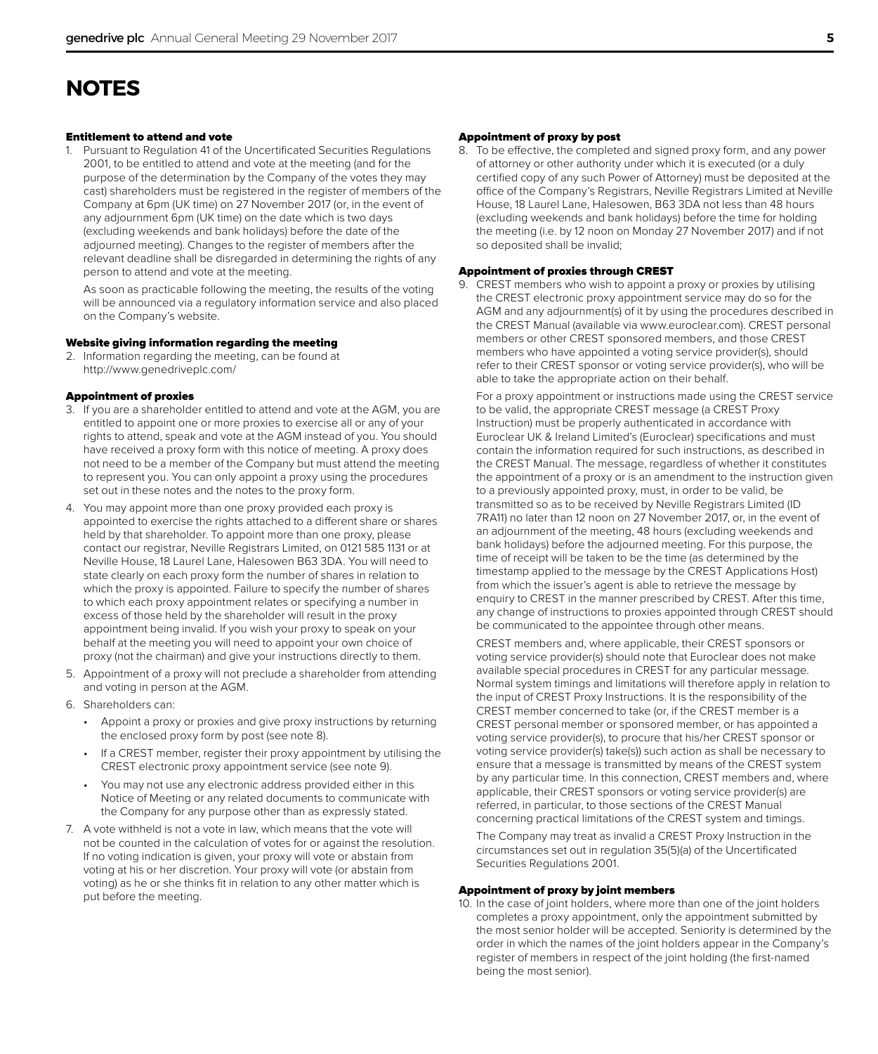## **NOTES**

### Entitlement to attend and vote

1. Pursuant to Regulation 41 of the Uncertificated Securities Regulations 2001, to be entitled to attend and vote at the meeting (and for the purpose of the determination by the Company of the votes they may cast) shareholders must be registered in the register of members of the Company at 6pm (UK time) on 27 November 2017 (or, in the event of any adjournment 6pm (UK time) on the date which is two days (excluding weekends and bank holidays) before the date of the adjourned meeting). Changes to the register of members after the relevant deadline shall be disregarded in determining the rights of any person to attend and vote at the meeting.

As soon as practicable following the meeting, the results of the voting will be announced via a regulatory information service and also placed on the Company's website.

#### Website giving information regarding the meeting

2. Information regarding the meeting, can be found at http://www.genedriveplc.com/

## Appointment of proxies

- 3. If you are a shareholder entitled to attend and vote at the AGM, you are entitled to appoint one or more proxies to exercise all or any of your rights to attend, speak and vote at the AGM instead of you. You should have received a proxy form with this notice of meeting. A proxy does not need to be a member of the Company but must attend the meeting to represent you. You can only appoint a proxy using the procedures set out in these notes and the notes to the proxy form.
- 4. You may appoint more than one proxy provided each proxy is appointed to exercise the rights attached to a different share or shares held by that shareholder. To appoint more than one proxy, please contact our registrar, Neville Registrars Limited, on 0121 585 1131 or at Neville House, 18 Laurel Lane, Halesowen B63 3DA. You will need to state clearly on each proxy form the number of shares in relation to which the proxy is appointed. Failure to specify the number of shares to which each proxy appointment relates or specifying a number in excess of those held by the shareholder will result in the proxy appointment being invalid. If you wish your proxy to speak on your behalf at the meeting you will need to appoint your own choice of proxy (not the chairman) and give your instructions directly to them.
- 5. Appointment of a proxy will not preclude a shareholder from attending and voting in person at the AGM.
- 6. Shareholders can:
	- Appoint a proxy or proxies and give proxy instructions by returning the enclosed proxy form by post (see note 8).
	- If a CREST member, register their proxy appointment by utilising the CREST electronic proxy appointment service (see note 9).
	- You may not use any electronic address provided either in this Notice of Meeting or any related documents to communicate with the Company for any purpose other than as expressly stated.
- 7. A vote withheld is not a vote in law, which means that the vote will not be counted in the calculation of votes for or against the resolution. If no voting indication is given, your proxy will vote or abstain from voting at his or her discretion. Your proxy will vote (or abstain from voting) as he or she thinks fit in relation to any other matter which is put before the meeting.

## Appointment of proxy by post

8. To be effective, the completed and signed proxy form, and any power of attorney or other authority under which it is executed (or a duly certified copy of any such Power of Attorney) must be deposited at the office of the Company's Registrars, Neville Registrars Limited at Neville House, 18 Laurel Lane, Halesowen, B63 3DA not less than 48 hours (excluding weekends and bank holidays) before the time for holding the meeting (i.e. by 12 noon on Monday 27 November 2017) and if not so deposited shall be invalid;

### Appointment of proxies through CREST

9. CREST members who wish to appoint a proxy or proxies by utilising the CREST electronic proxy appointment service may do so for the AGM and any adjournment(s) of it by using the procedures described in the CREST Manual (available via www.euroclear.com). CREST personal members or other CREST sponsored members, and those CREST members who have appointed a voting service provider(s), should refer to their CREST sponsor or voting service provider(s), who will be able to take the appropriate action on their behalf.

For a proxy appointment or instructions made using the CREST service to be valid, the appropriate CREST message (a CREST Proxy Instruction) must be properly authenticated in accordance with Euroclear UK & Ireland Limited's (Euroclear) specifications and must contain the information required for such instructions, as described in the CREST Manual. The message, regardless of whether it constitutes the appointment of a proxy or is an amendment to the instruction given to a previously appointed proxy, must, in order to be valid, be transmitted so as to be received by Neville Registrars Limited (ID 7RA11) no later than 12 noon on 27 November 2017, or, in the event of an adjournment of the meeting, 48 hours (excluding weekends and bank holidays) before the adjourned meeting. For this purpose, the time of receipt will be taken to be the time (as determined by the timestamp applied to the message by the CREST Applications Host) from which the issuer's agent is able to retrieve the message by enquiry to CREST in the manner prescribed by CREST. After this time, any change of instructions to proxies appointed through CREST should be communicated to the appointee through other means.

CREST members and, where applicable, their CREST sponsors or voting service provider(s) should note that Euroclear does not make available special procedures in CREST for any particular message. Normal system timings and limitations will therefore apply in relation to the input of CREST Proxy Instructions. It is the responsibility of the CREST member concerned to take (or, if the CREST member is a CREST personal member or sponsored member, or has appointed a voting service provider(s), to procure that his/her CREST sponsor or voting service provider(s) take(s)) such action as shall be necessary to ensure that a message is transmitted by means of the CREST system by any particular time. In this connection, CREST members and, where applicable, their CREST sponsors or voting service provider(s) are referred, in particular, to those sections of the CREST Manual concerning practical limitations of the CREST system and timings.

The Company may treat as invalid a CREST Proxy Instruction in the circumstances set out in regulation 35(5)(a) of the Uncertificated Securities Regulations 2001.

#### Appointment of proxy by joint members

10. In the case of joint holders, where more than one of the joint holders completes a proxy appointment, only the appointment submitted by the most senior holder will be accepted. Seniority is determined by the order in which the names of the joint holders appear in the Company's register of members in respect of the joint holding (the first-named being the most senior).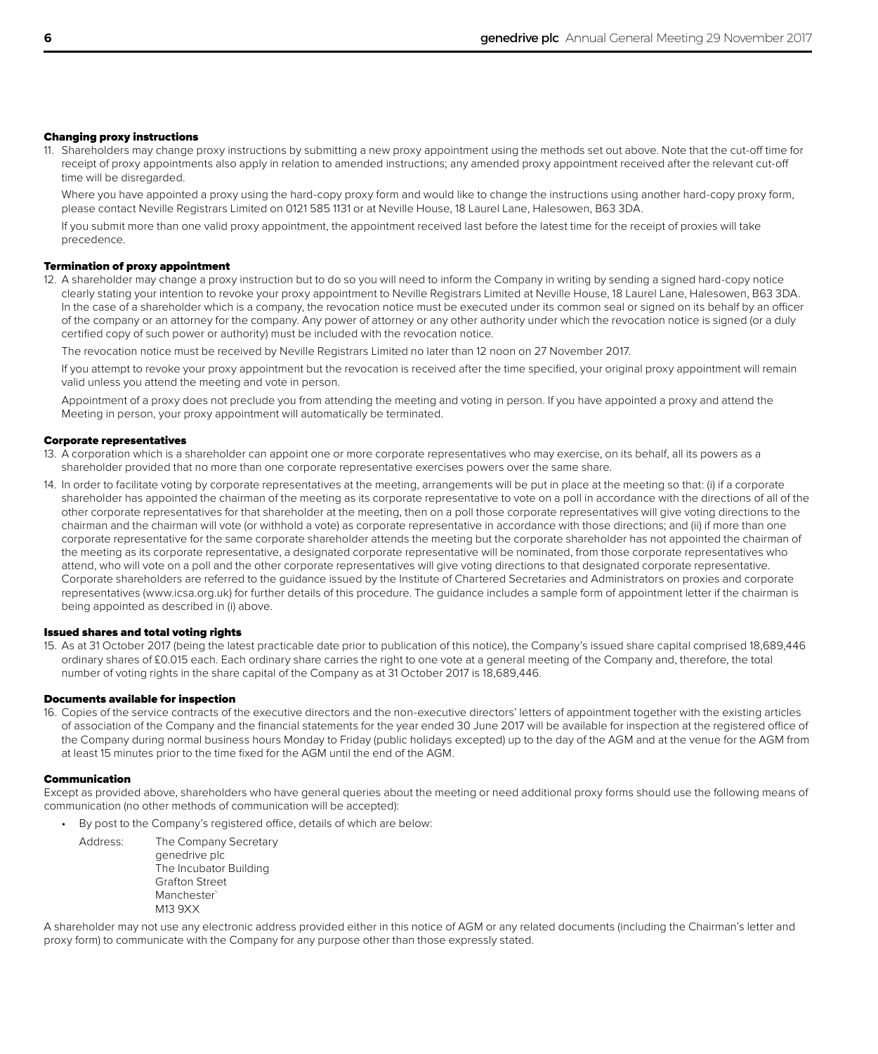## Changing proxy instructions

11. Shareholders may change proxy instructions by submitting a new proxy appointment using the methods set out above. Note that the cut-off time for receipt of proxy appointments also apply in relation to amended instructions; any amended proxy appointment received after the relevant cut-off time will be disregarded.

Where you have appointed a proxy using the hard-copy proxy form and would like to change the instructions using another hard-copy proxy form, please contact Neville Registrars Limited on 0121 585 1131 or at Neville House, 18 Laurel Lane, Halesowen, B63 3DA.

If you submit more than one valid proxy appointment, the appointment received last before the latest time for the receipt of proxies will take precedence.

## Termination of proxy appointment

12. A shareholder may change a proxy instruction but to do so you will need to inform the Company in writing by sending a signed hard-copy notice clearly stating your intention to revoke your proxy appointment to Neville Registrars Limited at Neville House, 18 Laurel Lane, Halesowen, B63 3DA. In the case of a shareholder which is a company, the revocation notice must be executed under its common seal or signed on its behalf by an officer of the company or an attorney for the company. Any power of attorney or any other authority under which the revocation notice is signed (or a duly certified copy of such power or authority) must be included with the revocation notice.

The revocation notice must be received by Neville Registrars Limited no later than 12 noon on 27 November 2017.

If you attempt to revoke your proxy appointment but the revocation is received after the time specified, your original proxy appointment will remain valid unless you attend the meeting and vote in person.

Appointment of a proxy does not preclude you from attending the meeting and voting in person. If you have appointed a proxy and attend the Meeting in person, your proxy appointment will automatically be terminated.

#### Corporate representatives

- 13. A corporation which is a shareholder can appoint one or more corporate representatives who may exercise, on its behalf, all its powers as a shareholder provided that no more than one corporate representative exercises powers over the same share.
- 14. In order to facilitate voting by corporate representatives at the meeting, arrangements will be put in place at the meeting so that: (i) if a corporate shareholder has appointed the chairman of the meeting as its corporate representative to vote on a poll in accordance with the directions of all of the other corporate representatives for that shareholder at the meeting, then on a poll those corporate representatives will give voting directions to the chairman and the chairman will vote (or withhold a vote) as corporate representative in accordance with those directions; and (ii) if more than one corporate representative for the same corporate shareholder attends the meeting but the corporate shareholder has not appointed the chairman of the meeting as its corporate representative, a designated corporate representative will be nominated, from those corporate representatives who attend, who will vote on a poll and the other corporate representatives will give voting directions to that designated corporate representative. Corporate shareholders are referred to the guidance issued by the Institute of Chartered Secretaries and Administrators on proxies and corporate representatives (www.icsa.org.uk) for further details of this procedure. The guidance includes a sample form of appointment letter if the chairman is being appointed as described in (i) above.

### Issued shares and total voting rights

15. As at 31 October 2017 (being the latest practicable date prior to publication of this notice), the Company's issued share capital comprised 18,689,446 ordinary shares of £0.015 each. Each ordinary share carries the right to one vote at a general meeting of the Company and, therefore, the total number of voting rights in the share capital of the Company as at 31 October 2017 is 18,689,446.

#### Documents available for inspection

16. Copies of the service contracts of the executive directors and the non-executive directors' letters of appointment together with the existing articles of association of the Company and the financial statements for the year ended 30 June 2017 will be available for inspection at the registered office of the Company during normal business hours Monday to Friday (public holidays excepted) up to the day of the AGM and at the venue for the AGM from at least 15 minutes prior to the time fixed for the AGM until the end of the AGM.

#### Communication

Except as provided above, shareholders who have general queries about the meeting or need additional proxy forms should use the following means of communication (no other methods of communication will be accepted):

By post to the Company's registered office, details of which are below:

Address: The Company Secretary genedrive plc The Incubator Building Grafton Street Manchester` M13 9XX

A shareholder may not use any electronic address provided either in this notice of AGM or any related documents (including the Chairman's letter and proxy form) to communicate with the Company for any purpose other than those expressly stated.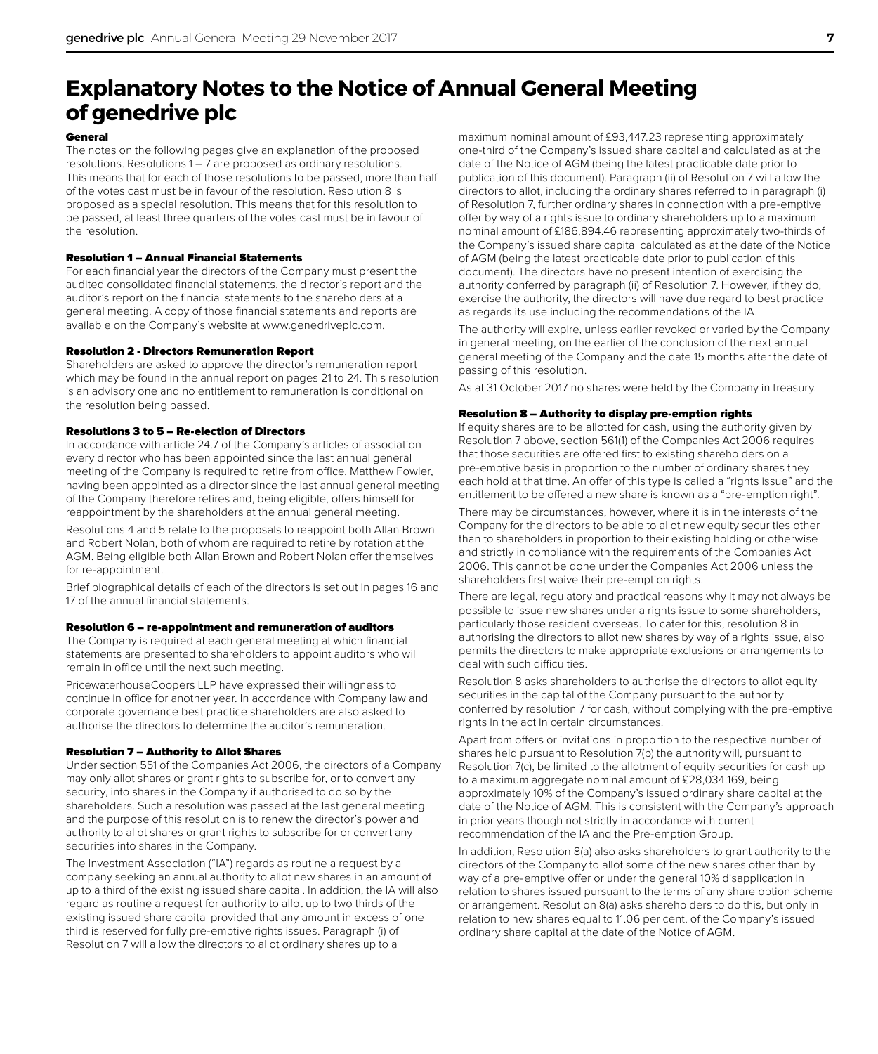# **Explanatory Notes to the Notice of Annual General Meeting of genedrive plc**

### General

The notes on the following pages give an explanation of the proposed resolutions. Resolutions 1 – 7 are proposed as ordinary resolutions. This means that for each of those resolutions to be passed, more than half of the votes cast must be in favour of the resolution. Resolution 8 is proposed as a special resolution. This means that for this resolution to be passed, at least three quarters of the votes cast must be in favour of the resolution.

## Resolution 1 – Annual Financial Statements

For each financial year the directors of the Company must present the audited consolidated financial statements, the director's report and the auditor's report on the financial statements to the shareholders at a general meeting. A copy of those financial statements and reports are available on the Company's website at www.genedriveplc.com.

## Resolution 2 - Directors Remuneration Report

Shareholders are asked to approve the director's remuneration report which may be found in the annual report on pages 21 to 24. This resolution is an advisory one and no entitlement to remuneration is conditional on the resolution being passed.

## Resolutions 3 to 5 – Re-election of Directors

In accordance with article 24.7 of the Company's articles of association every director who has been appointed since the last annual general meeting of the Company is required to retire from office. Matthew Fowler, having been appointed as a director since the last annual general meeting of the Company therefore retires and, being eligible, offers himself for reappointment by the shareholders at the annual general meeting.

Resolutions 4 and 5 relate to the proposals to reappoint both Allan Brown and Robert Nolan, both of whom are required to retire by rotation at the AGM. Being eligible both Allan Brown and Robert Nolan offer themselves for re-appointment.

Brief biographical details of each of the directors is set out in pages 16 and 17 of the annual financial statements.

#### Resolution 6 – re-appointment and remuneration of auditors

The Company is required at each general meeting at which financial statements are presented to shareholders to appoint auditors who will remain in office until the next such meeting.

PricewaterhouseCoopers LLP have expressed their willingness to continue in office for another year. In accordance with Company law and corporate governance best practice shareholders are also asked to authorise the directors to determine the auditor's remuneration.

## Resolution 7 – Authority to Allot Shares

Under section 551 of the Companies Act 2006, the directors of a Company may only allot shares or grant rights to subscribe for, or to convert any security, into shares in the Company if authorised to do so by the shareholders. Such a resolution was passed at the last general meeting and the purpose of this resolution is to renew the director's power and authority to allot shares or grant rights to subscribe for or convert any securities into shares in the Company.

The Investment Association ("IA") regards as routine a request by a company seeking an annual authority to allot new shares in an amount of up to a third of the existing issued share capital. In addition, the IA will also regard as routine a request for authority to allot up to two thirds of the existing issued share capital provided that any amount in excess of one third is reserved for fully pre-emptive rights issues. Paragraph (i) of Resolution 7 will allow the directors to allot ordinary shares up to a

maximum nominal amount of £93,447.23 representing approximately one-third of the Company's issued share capital and calculated as at the date of the Notice of AGM (being the latest practicable date prior to publication of this document). Paragraph (ii) of Resolution 7 will allow the directors to allot, including the ordinary shares referred to in paragraph (i) of Resolution 7, further ordinary shares in connection with a pre-emptive offer by way of a rights issue to ordinary shareholders up to a maximum nominal amount of £186,894.46 representing approximately two-thirds of the Company's issued share capital calculated as at the date of the Notice of AGM (being the latest practicable date prior to publication of this document). The directors have no present intention of exercising the authority conferred by paragraph (ii) of Resolution 7. However, if they do, exercise the authority, the directors will have due regard to best practice as regards its use including the recommendations of the IA.

The authority will expire, unless earlier revoked or varied by the Company in general meeting, on the earlier of the conclusion of the next annual general meeting of the Company and the date 15 months after the date of passing of this resolution.

As at 31 October 2017 no shares were held by the Company in treasury.

### Resolution 8 – Authority to display pre-emption rights

If equity shares are to be allotted for cash, using the authority given by Resolution 7 above, section 561(1) of the Companies Act 2006 requires that those securities are offered first to existing shareholders on a pre-emptive basis in proportion to the number of ordinary shares they each hold at that time. An offer of this type is called a "rights issue" and the entitlement to be offered a new share is known as a "pre-emption right".

There may be circumstances, however, where it is in the interests of the Company for the directors to be able to allot new equity securities other than to shareholders in proportion to their existing holding or otherwise and strictly in compliance with the requirements of the Companies Act 2006. This cannot be done under the Companies Act 2006 unless the shareholders first waive their pre-emption rights.

There are legal, regulatory and practical reasons why it may not always be possible to issue new shares under a rights issue to some shareholders, particularly those resident overseas. To cater for this, resolution 8 in authorising the directors to allot new shares by way of a rights issue, also permits the directors to make appropriate exclusions or arrangements to deal with such difficulties.

Resolution 8 asks shareholders to authorise the directors to allot equity securities in the capital of the Company pursuant to the authority conferred by resolution 7 for cash, without complying with the pre-emptive rights in the act in certain circumstances.

Apart from offers or invitations in proportion to the respective number of shares held pursuant to Resolution 7(b) the authority will, pursuant to Resolution 7(c), be limited to the allotment of equity securities for cash up to a maximum aggregate nominal amount of £28,034.169, being approximately 10% of the Company's issued ordinary share capital at the date of the Notice of AGM. This is consistent with the Company's approach in prior years though not strictly in accordance with current recommendation of the IA and the Pre-emption Group.

In addition, Resolution 8(a) also asks shareholders to grant authority to the directors of the Company to allot some of the new shares other than by way of a pre-emptive offer or under the general 10% disapplication in relation to shares issued pursuant to the terms of any share option scheme or arrangement. Resolution 8(a) asks shareholders to do this, but only in relation to new shares equal to 11.06 per cent. of the Company's issued ordinary share capital at the date of the Notice of AGM.